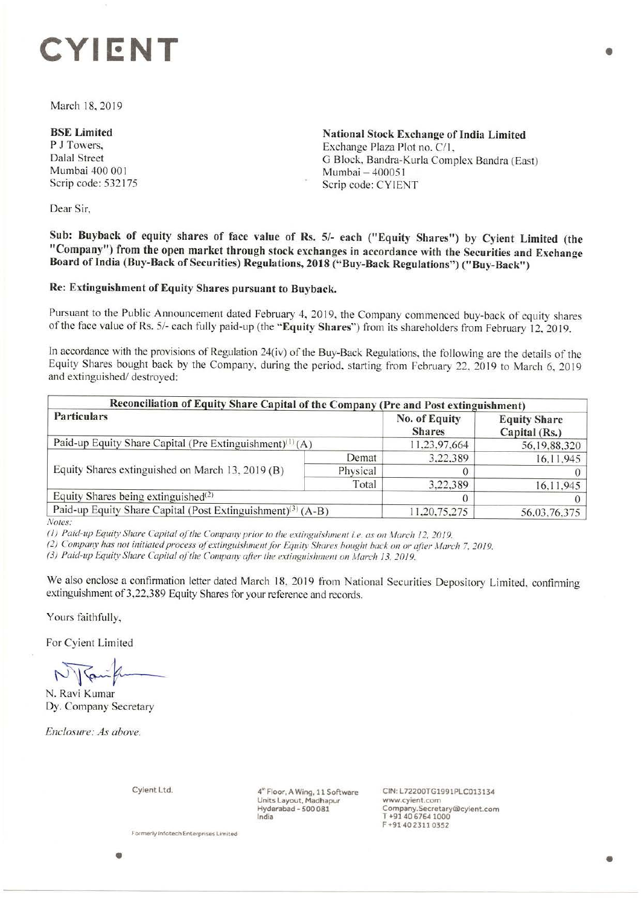# **CYIENT**

March 18, 2019

**BSE Limited**  P J Towers, Dalal Street Mumbai 400 001 Scrip code: 532175

**National Stock Exchange of India Limited**  Exchange Plaza Plot no. C/1, G Block, Bandra-Kurla Complex Sandra (East) Mumbai - 400051 Scrip code: CYIENT

Dear Sir,

**Sub: Buyback of equity shares of face value of Rs. 5/- each ("Equity Shares") by Cyient Limited (the "Company") from the open market through stock exchanges in accordance with the Securities and Exchange**  Board of India (Buy-Back of Securities) Regulations, 2018 ("Buy-Back Regulations") ("Buy-Back")

## **Re: Extinguishment of Equity Shares pursuant to Buyback.**

Pursuant to the Public Announcement dated February 4, 2019, the Company commenced buy-back of equity shares of the face value of Rs. 5/- each fully paid-up (the **"Equity Shares")** from its shareholders from February 12. 2019.

In accordance with the provisions of Regulation 24(iv) of the Buy-Back Regulations, the following are the details of the Equity Shares bought back by the Company, during the period, starting from February 22, 2019 to March 6, 2019 and extinguished/ destroyed:

| Reconciliation of Equity Share Capital of the Company (Pre and Post extinguishment)        |          |                                |                                                      |  |  |  |
|--------------------------------------------------------------------------------------------|----------|--------------------------------|------------------------------------------------------|--|--|--|
| <b>Particulars</b><br>Paid-up Equity Share Capital (Pre Extinguishment) <sup>(1)</sup> (A) |          | No. of Equity<br><b>Shares</b> | <b>Equity Share</b><br>Capital (Rs.)<br>56,19,88,320 |  |  |  |
|                                                                                            |          | 11,23,97,664                   |                                                      |  |  |  |
| Equity Shares extinguished on March 13, 2019 (B)                                           | Demat    | 3.22.389                       | 16,11,945                                            |  |  |  |
|                                                                                            | Physical |                                |                                                      |  |  |  |
|                                                                                            | Total    | 3,22,389                       | 16, 11, 945                                          |  |  |  |
| Equity Shares being extinguished $(2)$                                                     |          |                                |                                                      |  |  |  |
| Paid-up Equity Share Capital (Post Extinguishment) <sup>(3)</sup> (A-B)                    |          | 11,20,75,275                   | 56,03,76,375                                         |  |  |  |

*Noles:* 

*(1) Paid-up Equity Share Capital of the Company prior to the extinguishment i.e. as on March 12, 2019.* 

*(2) Company has not initiated process of extinguishment for Equity Shares bought back on or after March 7, 2019.* 

(3) Paid-up Equity Share Capital of the Company after the extinguishment on March 13, 2019.

We also enclose a confirmation letter dated March 18, 2019 from National Securities Depository Limited, confirming extinguishment of 3,22,389 Equity Shares for your reference and records.

Yours faithfully,

For Cyient Limited

*N* Janifr

N. Ravi Kumar Dy. Company Secretary

*Enclosure: As above.* 

Cyient Ltd.

4~ Floor, A Wing, 11 Software Units Layout, Madhapur Hyderabad - 500 081 India

CIN:L72200TG1991PLC013134 www.cyient.com Company.Secretarylalcyient.com T +91406764 1000 F +9140 2311 0352

**Formerly Infotech Enterprises Limited** 

•